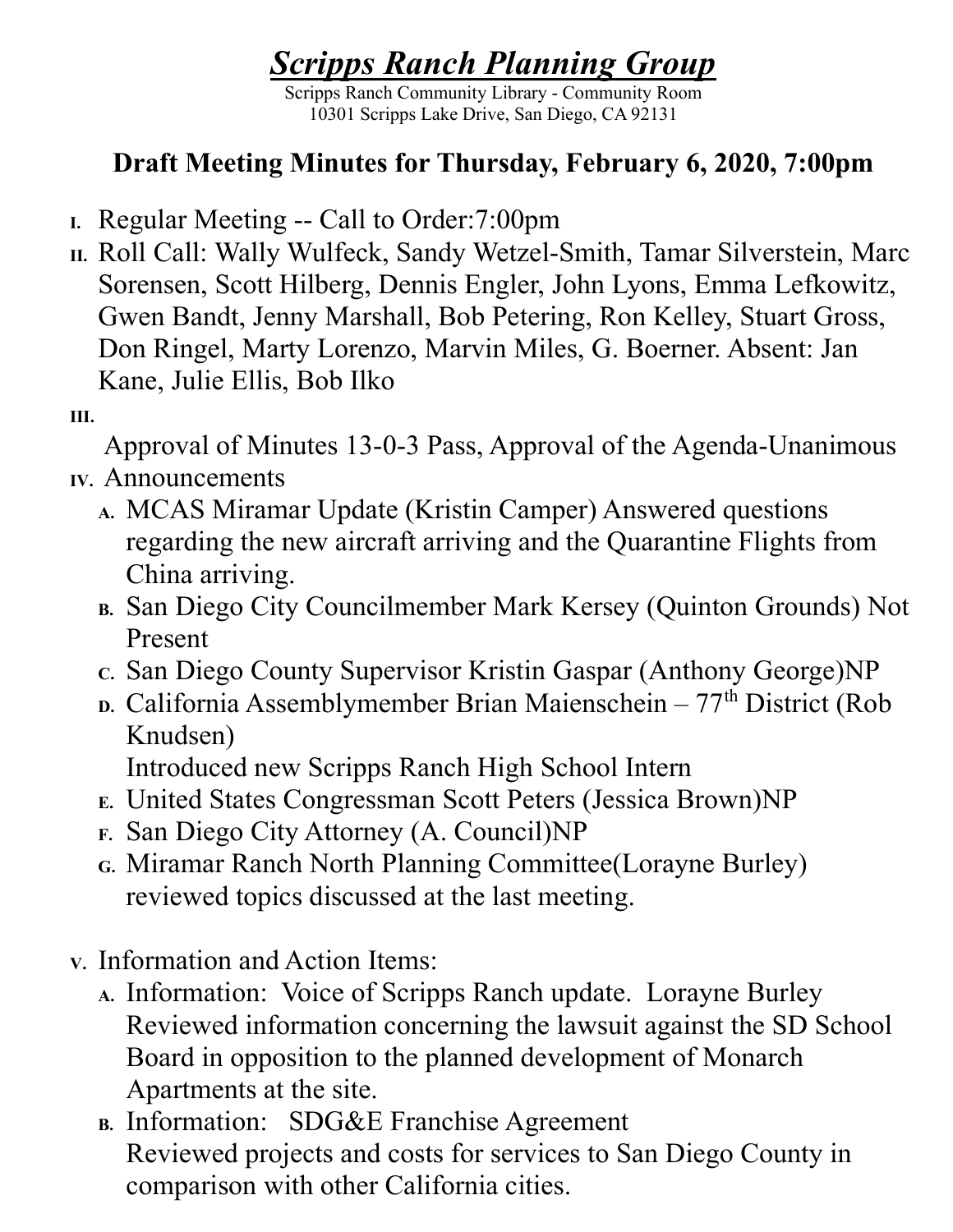## Scripps Ranch Planning Group

Scripps Ranch Community Library - Community Room 10301 Scripps Lake Drive, San Diego, CA 92131

## Draft Meeting Minutes for Thursday, February 6, 2020, 7:00pm

- I. Regular Meeting -- Call to Order:7:00pm
- II. Roll Call: Wally Wulfeck, Sandy Wetzel-Smith, Tamar Silverstein, Marc Sorensen, Scott Hilberg, Dennis Engler, John Lyons, Emma Lefkowitz, Gwen Bandt, Jenny Marshall, Bob Petering, Ron Kelley, Stuart Gross, Don Ringel, Marty Lorenzo, Marvin Miles, G. Boerner. Absent: Jan Kane, Julie Ellis, Bob Ilko
- III.

Approval of Minutes 13-0-3 Pass, Approval of the Agenda-Unanimous

- IV. Announcements
	- A. MCAS Miramar Update (Kristin Camper) Answered questions regarding the new aircraft arriving and the Quarantine Flights from China arriving.
	- B. San Diego City Councilmember Mark Kersey (Quinton Grounds) Not Present
	- c. San Diego County Supervisor Kristin Gaspar (Anthony George)NP
	- $D.$  California Assemblymember Brian Maienschein  $77<sup>th</sup>$  District (Rob Knudsen) Introduced new Scripps Ranch High School Intern
	- E. United States Congressman Scott Peters (Jessica Brown)NP
	- F. San Diego City Attorney (A. Council)NP
	- G. Miramar Ranch North Planning Committee(Lorayne Burley) reviewed topics discussed at the last meeting.
- V. Information and Action Items:
	- A. Information: Voice of Scripps Ranch update. Lorayne Burley Reviewed information concerning the lawsuit against the SD School Board in opposition to the planned development of Monarch Apartments at the site.
	- B. Information: SDG&E Franchise Agreement Reviewed projects and costs for services to San Diego County in comparison with other California cities.